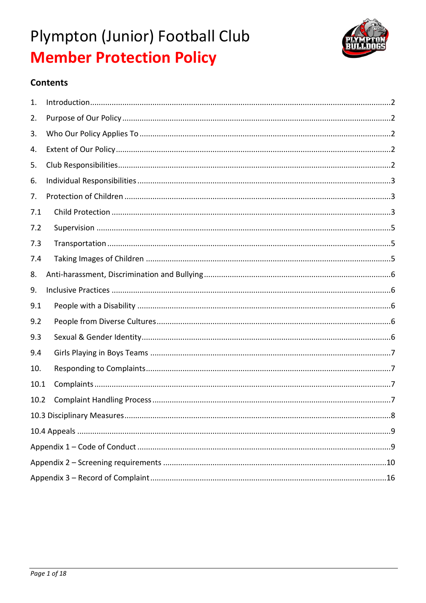

## **Contents**

| 1.   |  |
|------|--|
| 2.   |  |
| 3.   |  |
| 4.   |  |
| 5.   |  |
| 6.   |  |
| 7.   |  |
| 7.1  |  |
| 7.2  |  |
| 7.3  |  |
| 7.4  |  |
| 8.   |  |
|      |  |
| 9.   |  |
| 9.1  |  |
| 9.2  |  |
| 9.3  |  |
| 9.4  |  |
| 10.  |  |
| 10.1 |  |
| 10.2 |  |
|      |  |
|      |  |
|      |  |
|      |  |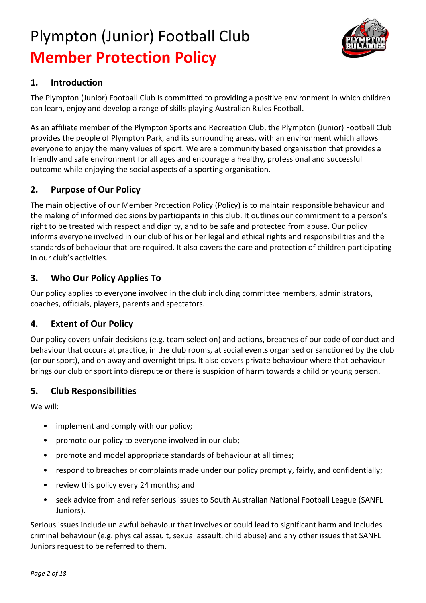

## **1. Introduction**

The Plympton (Junior) Football Club is committed to providing a positive environment in which children can learn, enjoy and develop a range of skills playing Australian Rules Football.

As an affiliate member of the Plympton Sports and Recreation Club, the Plympton (Junior) Football Club provides the people of Plympton Park, and its surrounding areas, with an environment which allows everyone to enjoy the many values of sport. We are a community based organisation that provides a friendly and safe environment for all ages and encourage a healthy, professional and successful outcome while enjoying the social aspects of a sporting organisation.

## **2. Purpose of Our Policy**

The main objective of our Member Protection Policy (Policy) is to maintain responsible behaviour and the making of informed decisions by participants in this club. It outlines our commitment to a person's right to be treated with respect and dignity, and to be safe and protected from abuse. Our policy informs everyone involved in our club of his or her legal and ethical rights and responsibilities and the standards of behaviour that are required. It also covers the care and protection of children participating in our club's activities.

## **3. Who Our Policy Applies To**

Our policy applies to everyone involved in the club including committee members, administrators, coaches, officials, players, parents and spectators.

## **4. Extent of Our Policy**

Our policy covers unfair decisions (e.g. team selection) and actions, breaches of our code of conduct and behaviour that occurs at practice, in the club rooms, at social events organised or sanctioned by the club (or our sport), and on away and overnight trips. It also covers private behaviour where that behaviour brings our club or sport into disrepute or there is suspicion of harm towards a child or young person.

## **5. Club Responsibilities**

We will:

- implement and comply with our policy;
- promote our policy to everyone involved in our club;
- promote and model appropriate standards of behaviour at all times;
- respond to breaches or complaints made under our policy promptly, fairly, and confidentially;
- review this policy every 24 months; and
- seek advice from and refer serious issues to South Australian National Football League (SANFL Juniors).

Serious issues include unlawful behaviour that involves or could lead to significant harm and includes criminal behaviour (e.g. physical assault, sexual assault, child abuse) and any other issues that SANFL Juniors request to be referred to them.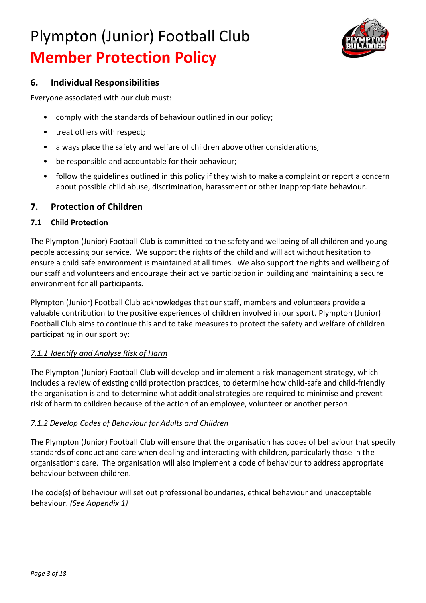

## **6. Individual Responsibilities**

Everyone associated with our club must:

- comply with the standards of behaviour outlined in our policy;
- treat others with respect;
- always place the safety and welfare of children above other considerations;
- be responsible and accountable for their behaviour;
- follow the guidelines outlined in this policy if they wish to make a complaint or report a concern about possible child abuse, discrimination, harassment or other inappropriate behaviour.

## **7. Protection of Children**

### **7.1 Child Protection**

The Plympton (Junior) Football Club is committed to the safety and wellbeing of all children and young people accessing our service. We support the rights of the child and will act without hesitation to ensure a child safe environment is maintained at all times. We also support the rights and wellbeing of our staff and volunteers and encourage their active participation in building and maintaining a secure environment for all participants.

Plympton (Junior) Football Club acknowledges that our staff, members and volunteers provide a valuable contribution to the positive experiences of children involved in our sport. Plympton (Junior) Football Club aims to continue this and to take measures to protect the safety and welfare of children participating in our sport by:

### *7.1.1 Identify and Analyse Risk of Harm*

The Plympton (Junior) Football Club will develop and implement a risk management strategy, which includes a review of existing child protection practices, to determine how child-safe and child-friendly the organisation is and to determine what additional strategies are required to minimise and prevent risk of harm to children because of the action of an employee, volunteer or another person.

### *7.1.2 Develop Codes of Behaviour for Adults and Children*

The Plympton (Junior) Football Club will ensure that the organisation has codes of behaviour that specify standards of conduct and care when dealing and interacting with children, particularly those in the organisation's care. The organisation will also implement a code of behaviour to address appropriate behaviour between children.

The code(s) of behaviour will set out professional boundaries, ethical behaviour and unacceptable behaviour. *(See Appendix 1)*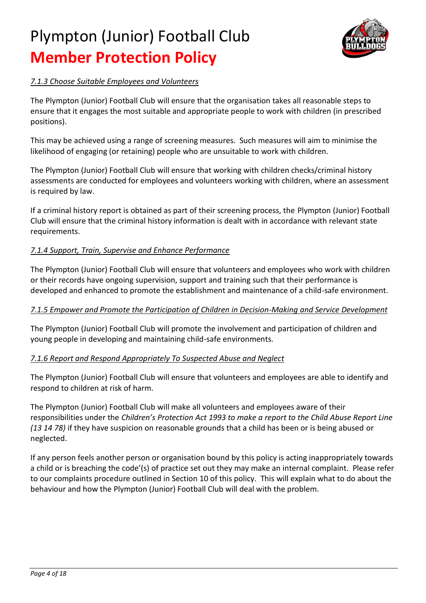

## *7.1.3 Choose Suitable Employees and Volunteers*

The Plympton (Junior) Football Club will ensure that the organisation takes all reasonable steps to ensure that it engages the most suitable and appropriate people to work with children (in prescribed positions).

This may be achieved using a range of screening measures. Such measures will aim to minimise the likelihood of engaging (or retaining) people who are unsuitable to work with children.

The Plympton (Junior) Football Club will ensure that working with children checks/criminal history assessments are conducted for employees and volunteers working with children, where an assessment is required by law.

If a criminal history report is obtained as part of their screening process, the Plympton (Junior) Football Club will ensure that the criminal history information is dealt with in accordance with relevant state requirements.

### *7.1.4 Support, Train, Supervise and Enhance Performance*

The Plympton (Junior) Football Club will ensure that volunteers and employees who work with children or their records have ongoing supervision, support and training such that their performance is developed and enhanced to promote the establishment and maintenance of a child-safe environment.

### *7.1.5 Empower and Promote the Participation of Children in Decision-Making and Service Development*

The Plympton (Junior) Football Club will promote the involvement and participation of children and young people in developing and maintaining child-safe environments.

### *7.1.6 Report and Respond Appropriately To Suspected Abuse and Neglect*

The Plympton (Junior) Football Club will ensure that volunteers and employees are able to identify and respond to children at risk of harm.

The Plympton (Junior) Football Club will make all volunteers and employees aware of their responsibilities under the *Children's Protection Act 1993 to make a report to the Child Abuse Report Line (13 14 78)* if they have suspicion on reasonable grounds that a child has been or is being abused or neglected.

If any person feels another person or organisation bound by this policy is acting inappropriately towards a child or is breaching the code'(s) of practice set out they may make an internal complaint. Please refer to our complaints procedure outlined in Section 10 of this policy. This will explain what to do about the behaviour and how the Plympton (Junior) Football Club will deal with the problem.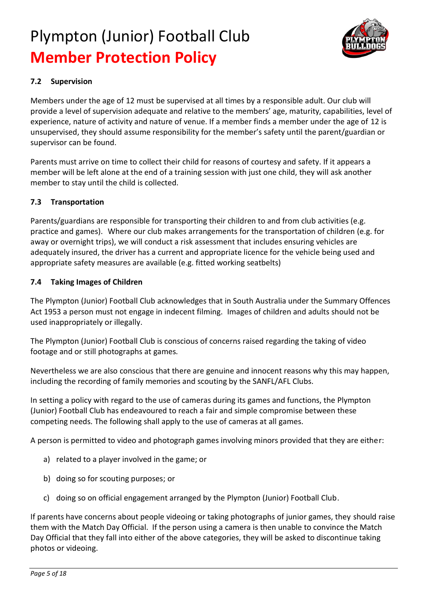

### **7.2 Supervision**

Members under the age of 12 must be supervised at all times by a responsible adult. Our club will provide a level of supervision adequate and relative to the members' age, maturity, capabilities, level of experience, nature of activity and nature of venue. If a member finds a member under the age of 12 is unsupervised, they should assume responsibility for the member's safety until the parent/guardian or supervisor can be found.

Parents must arrive on time to collect their child for reasons of courtesy and safety. If it appears a member will be left alone at the end of a training session with just one child, they will ask another member to stay until the child is collected.

### **7.3 Transportation**

Parents/guardians are responsible for transporting their children to and from club activities (e.g. practice and games). Where our club makes arrangements for the transportation of children (e.g. for away or overnight trips), we will conduct a risk assessment that includes ensuring vehicles are adequately insured, the driver has a current and appropriate licence for the vehicle being used and appropriate safety measures are available (e.g. fitted working seatbelts)

### **7.4 Taking Images of Children**

The Plympton (Junior) Football Club acknowledges that in South Australia under the Summary Offences Act 1953 a person must not engage in indecent filming. Images of children and adults should not be used inappropriately or illegally.

The Plympton (Junior) Football Club is conscious of concerns raised regarding the taking of video footage and or still photographs at games.

Nevertheless we are also conscious that there are genuine and innocent reasons why this may happen, including the recording of family memories and scouting by the SANFL/AFL Clubs.

In setting a policy with regard to the use of cameras during its games and functions, the Plympton (Junior) Football Club has endeavoured to reach a fair and simple compromise between these competing needs. The following shall apply to the use of cameras at all games.

A person is permitted to video and photograph games involving minors provided that they are either:

- a) related to a player involved in the game; or
- b) doing so for scouting purposes; or
- c) doing so on official engagement arranged by the Plympton (Junior) Football Club.

If parents have concerns about people videoing or taking photographs of junior games, they should raise them with the Match Day Official. If the person using a camera is then unable to convince the Match Day Official that they fall into either of the above categories, they will be asked to discontinue taking photos or videoing.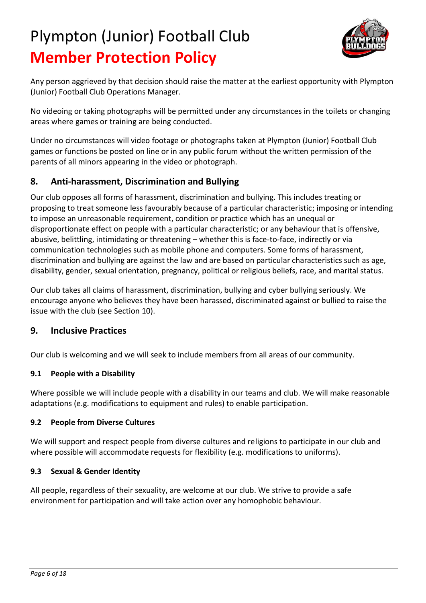

Any person aggrieved by that decision should raise the matter at the earliest opportunity with Plympton (Junior) Football Club Operations Manager.

No videoing or taking photographs will be permitted under any circumstances in the toilets or changing areas where games or training are being conducted.

Under no circumstances will video footage or photographs taken at Plympton (Junior) Football Club games or functions be posted on line or in any public forum without the written permission of the parents of all minors appearing in the video or photograph.

## **8. Anti-harassment, Discrimination and Bullying**

Our club opposes all forms of harassment, discrimination and bullying. This includes treating or proposing to treat someone less favourably because of a particular characteristic; imposing or intending to impose an unreasonable requirement, condition or practice which has an unequal or disproportionate effect on people with a particular characteristic; or any behaviour that is offensive, abusive, belittling, intimidating or threatening – whether this is face-to-face, indirectly or via communication technologies such as mobile phone and computers. Some forms of harassment, discrimination and bullying are against the law and are based on particular characteristics such as age, disability, gender, sexual orientation, pregnancy, political or religious beliefs, race, and marital status.

Our club takes all claims of harassment, discrimination, bullying and cyber bullying seriously. We encourage anyone who believes they have been harassed, discriminated against or bullied to raise the issue with the club (see Section 10).

## **9. Inclusive Practices**

Our club is welcoming and we will seek to include members from all areas of our community.

## **9.1 People with a Disability**

Where possible we will include people with a disability in our teams and club. We will make reasonable adaptations (e.g. modifications to equipment and rules) to enable participation.

### **9.2 People from Diverse Cultures**

We will support and respect people from diverse cultures and religions to participate in our club and where possible will accommodate requests for flexibility (e.g. modifications to uniforms).

### **9.3 Sexual & Gender Identity**

All people, regardless of their sexuality, are welcome at our club. We strive to provide a safe environment for participation and will take action over any homophobic behaviour.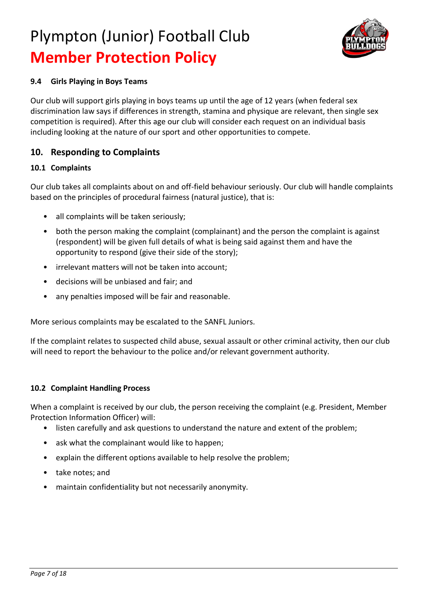

### **9.4 Girls Playing in Boys Teams**

Our club will support girls playing in boys teams up until the age of 12 years (when federal sex discrimination law says if differences in strength, stamina and physique are relevant, then single sex competition is required). After this age our club will consider each request on an individual basis including looking at the nature of our sport and other opportunities to compete.

## **10. Responding to Complaints**

### **10.1 Complaints**

Our club takes all complaints about on and off-field behaviour seriously. Our club will handle complaints based on the principles of procedural fairness (natural justice), that is:

- all complaints will be taken seriously;
- both the person making the complaint (complainant) and the person the complaint is against (respondent) will be given full details of what is being said against them and have the opportunity to respond (give their side of the story);
- irrelevant matters will not be taken into account;
- decisions will be unbiased and fair; and
- any penalties imposed will be fair and reasonable.

More serious complaints may be escalated to the SANFL Juniors.

If the complaint relates to suspected child abuse, sexual assault or other criminal activity, then our club will need to report the behaviour to the police and/or relevant government authority.

#### **10.2 Complaint Handling Process**

When a complaint is received by our club, the person receiving the complaint (e.g. President, Member Protection Information Officer) will:

- listen carefully and ask questions to understand the nature and extent of the problem;
- ask what the complainant would like to happen;
- explain the different options available to help resolve the problem;
- take notes; and
- maintain confidentiality but not necessarily anonymity.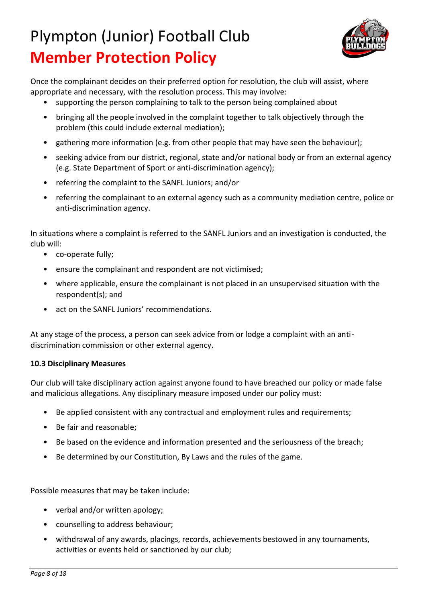

Once the complainant decides on their preferred option for resolution, the club will assist, where appropriate and necessary, with the resolution process. This may involve:

- supporting the person complaining to talk to the person being complained about
- bringing all the people involved in the complaint together to talk objectively through the problem (this could include external mediation);
- gathering more information (e.g. from other people that may have seen the behaviour);
- seeking advice from our district, regional, state and/or national body or from an external agency (e.g. State Department of Sport or anti-discrimination agency);
- referring the complaint to the SANFL Juniors; and/or
- referring the complainant to an external agency such as a community mediation centre, police or anti-discrimination agency.

In situations where a complaint is referred to the SANFL Juniors and an investigation is conducted, the club will:

- co-operate fully;
- ensure the complainant and respondent are not victimised;
- where applicable, ensure the complainant is not placed in an unsupervised situation with the respondent(s); and
- act on the SANFL Juniors' recommendations.

At any stage of the process, a person can seek advice from or lodge a complaint with an antidiscrimination commission or other external agency.

### **10.3 Disciplinary Measures**

Our club will take disciplinary action against anyone found to have breached our policy or made false and malicious allegations. Any disciplinary measure imposed under our policy must:

- Be applied consistent with any contractual and employment rules and requirements;
- Be fair and reasonable;
- Be based on the evidence and information presented and the seriousness of the breach;
- Be determined by our Constitution, By Laws and the rules of the game.

Possible measures that may be taken include:

- verbal and/or written apology;
- counselling to address behaviour;
- withdrawal of any awards, placings, records, achievements bestowed in any tournaments, activities or events held or sanctioned by our club;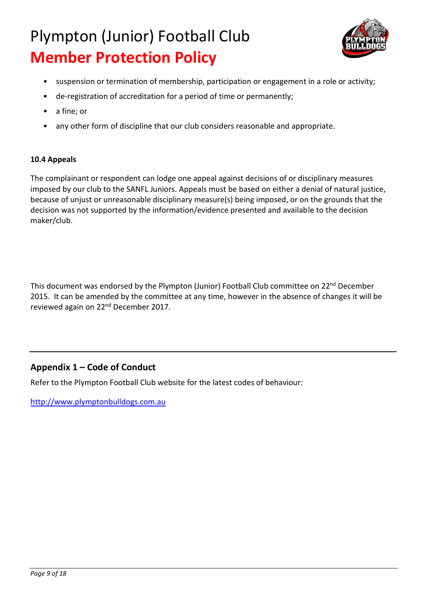

- suspension or termination of membership, participation or engagement in a role or activity;
- de-registration of accreditation for a period of time or permanently;
- a fine; or
- any other form of discipline that our club considers reasonable and appropriate.

### **10.4 Appeals**

The complainant or respondent can lodge one appeal against decisions of or disciplinary measures imposed by our club to the SANFL Juniors. Appeals must be based on either a denial of natural justice, because of unjust or unreasonable disciplinary measure(s) being imposed, or on the grounds that the decision was not supported by the information/evidence presented and available to the decision maker/club.

This document was endorsed by the Plympton (Junior) Football Club committee on 22<sup>nd</sup> December 2015. It can be amended by the committee at any time, however in the absence of changes it will be reviewed again on 22nd December 2017.

## **Appendix 1 – Code of Conduct**

Refer to the Plympton Football Club website for the latest codes of behaviour:

[http://www.plymptonbulldogs.com.au](http://www.plymptonbulldogs.com.au/)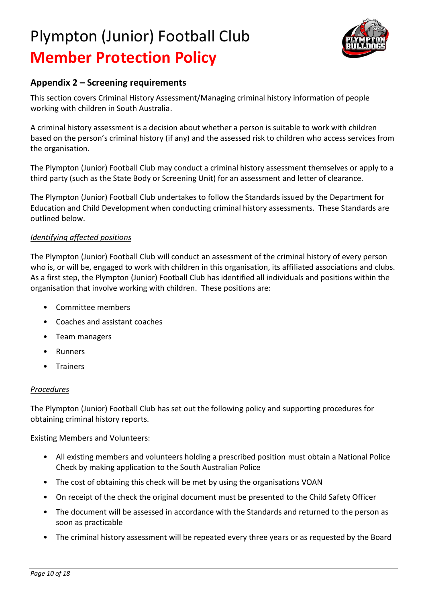

## **Appendix 2 – Screening requirements**

This section covers Criminal History Assessment/Managing criminal history information of people working with children in South Australia.

A criminal history assessment is a decision about whether a person is suitable to work with children based on the person's criminal history (if any) and the assessed risk to children who access services from the organisation.

The Plympton (Junior) Football Club may conduct a criminal history assessment themselves or apply to a third party (such as the State Body or Screening Unit) for an assessment and letter of clearance.

The Plympton (Junior) Football Club undertakes to follow the Standards issued by the Department for Education and Child Development when conducting criminal history assessments. These Standards are outlined below.

### *Identifying affected positions*

The Plympton (Junior) Football Club will conduct an assessment of the criminal history of every person who is, or will be, engaged to work with children in this organisation, its affiliated associations and clubs. As a first step, the Plympton (Junior) Football Club has identified all individuals and positions within the organisation that involve working with children. These positions are:

- Committee members
- Coaches and assistant coaches
- Team managers
- **Runners**
- Trainers

## *Procedures*

The Plympton (Junior) Football Club has set out the following policy and supporting procedures for obtaining criminal history reports.

Existing Members and Volunteers:

- All existing members and volunteers holding a prescribed position must obtain a National Police Check by making application to the South Australian Police
- The cost of obtaining this check will be met by using the organisations VOAN
- On receipt of the check the original document must be presented to the Child Safety Officer
- The document will be assessed in accordance with the Standards and returned to the person as soon as practicable
- The criminal history assessment will be repeated every three years or as requested by the Board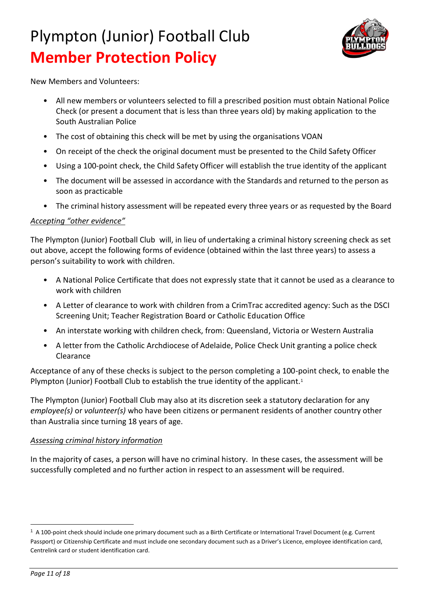

New Members and Volunteers:

- All new members or volunteers selected to fill a prescribed position must obtain National Police Check (or present a document that is less than three years old) by making application to the South Australian Police
- The cost of obtaining this check will be met by using the organisations VOAN
- On receipt of the check the original document must be presented to the Child Safety Officer
- Using a 100-point check, the Child Safety Officer will establish the true identity of the applicant
- The document will be assessed in accordance with the Standards and returned to the person as soon as practicable
- The criminal history assessment will be repeated every three years or as requested by the Board

#### *Accepting "other evidence"*

The Plympton (Junior) Football Club will, in lieu of undertaking a criminal history screening check as set out above, accept the following forms of evidence (obtained within the last three years) to assess a person's suitability to work with children.

- A National Police Certificate that does not expressly state that it cannot be used as a clearance to work with children
- A Letter of clearance to work with children from a CrimTrac accredited agency: Such as the DSCI Screening Unit; Teacher Registration Board or Catholic Education Office
- An interstate working with children check, from: Queensland, Victoria or Western Australia
- A letter from the Catholic Archdiocese of Adelaide, Police Check Unit granting a police check Clearance

Acceptance of any of these checks is subject to the person completing a 100-point check, to enable the Plympton (Junior) Football Club to establish the true identity of the applicant.<sup>1</sup>

The Plympton (Junior) Football Club may also at its discretion seek a statutory declaration for any *employee(s)* or *volunteer(s)* who have been citizens or permanent residents of another country other than Australia since turning 18 years of age.

#### *Assessing criminal history information*

In the majority of cases, a person will have no criminal history. In these cases, the assessment will be successfully completed and no further action in respect to an assessment will be required.

 $\overline{a}$ 

<sup>1</sup> A 100-point check should include one primary document such as a Birth Certificate or International Travel Document (e.g. Current Passport) or Citizenship Certificate and must include one secondary document such as a Driver's Licence, employee identification card, Centrelink card or student identification card.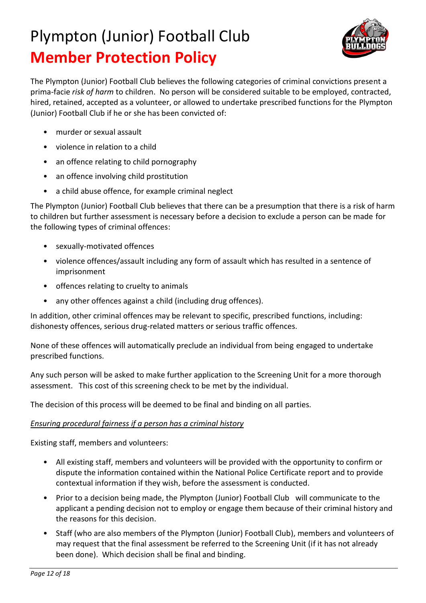

The Plympton (Junior) Football Club believes the following categories of criminal convictions present a prima-facie *risk of harm* to children. No person will be considered suitable to be employed, contracted, hired, retained, accepted as a volunteer, or allowed to undertake prescribed functions for the Plympton (Junior) Football Club if he or she has been convicted of:

- murder or sexual assault
- violence in relation to a child
- an offence relating to child pornography
- an offence involving child prostitution
- a child abuse offence, for example criminal neglect

The Plympton (Junior) Football Club believes that there can be a presumption that there is a risk of harm to children but further assessment is necessary before a decision to exclude a person can be made for the following types of criminal offences:

- sexually-motivated offences
- violence offences/assault including any form of assault which has resulted in a sentence of imprisonment
- offences relating to cruelty to animals
- any other offences against a child (including drug offences).

In addition, other criminal offences may be relevant to specific, prescribed functions, including: dishonesty offences, serious drug-related matters or serious traffic offences.

None of these offences will automatically preclude an individual from being engaged to undertake prescribed functions.

Any such person will be asked to make further application to the Screening Unit for a more thorough assessment. This cost of this screening check to be met by the individual.

The decision of this process will be deemed to be final and binding on all parties.

### *Ensuring procedural fairness if a person has a criminal history*

Existing staff, members and volunteers:

- All existing staff, members and volunteers will be provided with the opportunity to confirm or dispute the information contained within the National Police Certificate report and to provide contextual information if they wish, before the assessment is conducted.
- Prior to a decision being made, the Plympton (Junior) Football Club will communicate to the applicant a pending decision not to employ or engage them because of their criminal history and the reasons for this decision.
- Staff (who are also members of the Plympton (Junior) Football Club), members and volunteers of may request that the final assessment be referred to the Screening Unit (if it has not already been done). Which decision shall be final and binding.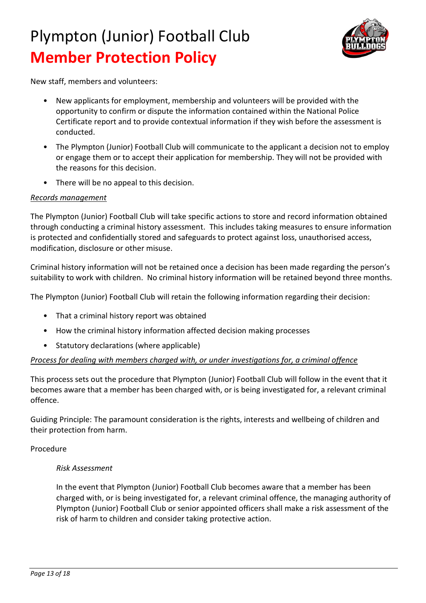

New staff, members and volunteers:

- New applicants for employment, membership and volunteers will be provided with the opportunity to confirm or dispute the information contained within the National Police Certificate report and to provide contextual information if they wish before the assessment is conducted.
- The Plympton (Junior) Football Club will communicate to the applicant a decision not to employ or engage them or to accept their application for membership. They will not be provided with the reasons for this decision.
- There will be no appeal to this decision.

### *Records management*

The Plympton (Junior) Football Club will take specific actions to store and record information obtained through conducting a criminal history assessment. This includes taking measures to ensure information is protected and confidentially stored and safeguards to protect against loss, unauthorised access, modification, disclosure or other misuse.

Criminal history information will not be retained once a decision has been made regarding the person's suitability to work with children. No criminal history information will be retained beyond three months.

The Plympton (Junior) Football Club will retain the following information regarding their decision:

- That a criminal history report was obtained
- How the criminal history information affected decision making processes
- Statutory declarations (where applicable)

### *Process for dealing with members charged with, or under investigations for, a criminal offence*

This process sets out the procedure that Plympton (Junior) Football Club will follow in the event that it becomes aware that a member has been charged with, or is being investigated for, a relevant criminal offence.

Guiding Principle: The paramount consideration is the rights, interests and wellbeing of children and their protection from harm.

Procedure

### *Risk Assessment*

In the event that Plympton (Junior) Football Club becomes aware that a member has been charged with, or is being investigated for, a relevant criminal offence, the managing authority of Plympton (Junior) Football Club or senior appointed officers shall make a risk assessment of the risk of harm to children and consider taking protective action.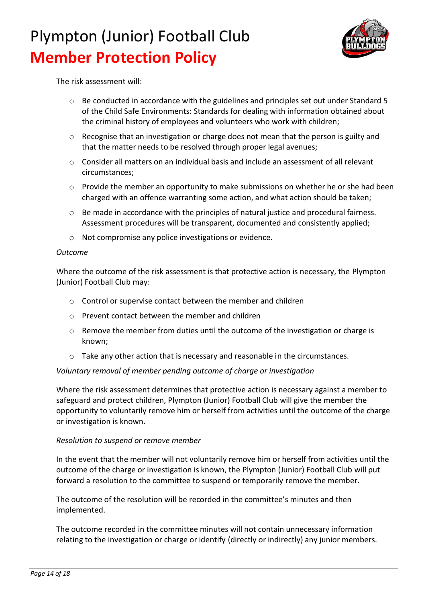

The risk assessment will:

- o Be conducted in accordance with the guidelines and principles set out under Standard 5 of the Child Safe Environments: Standards for dealing with information obtained about the criminal history of employees and volunteers who work with children;
- o Recognise that an investigation or charge does not mean that the person is guilty and that the matter needs to be resolved through proper legal avenues;
- $\circ$  Consider all matters on an individual basis and include an assessment of all relevant circumstances;
- $\circ$  Provide the member an opportunity to make submissions on whether he or she had been charged with an offence warranting some action, and what action should be taken;
- $\circ$  Be made in accordance with the principles of natural justice and procedural fairness. Assessment procedures will be transparent, documented and consistently applied;
- o Not compromise any police investigations or evidence.

#### *Outcome*

Where the outcome of the risk assessment is that protective action is necessary, the Plympton (Junior) Football Club may:

- o Control or supervise contact between the member and children
- o Prevent contact between the member and children
- $\circ$  Remove the member from duties until the outcome of the investigation or charge is known;
- o Take any other action that is necessary and reasonable in the circumstances.

### *Voluntary removal of member pending outcome of charge or investigation*

Where the risk assessment determines that protective action is necessary against a member to safeguard and protect children, Plympton (Junior) Football Club will give the member the opportunity to voluntarily remove him or herself from activities until the outcome of the charge or investigation is known.

#### *Resolution to suspend or remove member*

In the event that the member will not voluntarily remove him or herself from activities until the outcome of the charge or investigation is known, the Plympton (Junior) Football Club will put forward a resolution to the committee to suspend or temporarily remove the member.

The outcome of the resolution will be recorded in the committee's minutes and then implemented.

The outcome recorded in the committee minutes will not contain unnecessary information relating to the investigation or charge or identify (directly or indirectly) any junior members.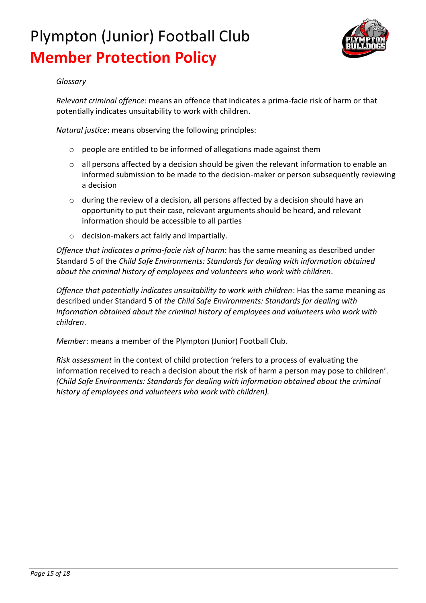

### *Glossary*

*Relevant criminal offence*: means an offence that indicates a prima-facie risk of harm or that potentially indicates unsuitability to work with children.

*Natural justice*: means observing the following principles:

- o people are entitled to be informed of allegations made against them
- $\circ$  all persons affected by a decision should be given the relevant information to enable an informed submission to be made to the decision-maker or person subsequently reviewing a decision
- o during the review of a decision, all persons affected by a decision should have an opportunity to put their case, relevant arguments should be heard, and relevant information should be accessible to all parties
- o decision-makers act fairly and impartially.

*Offence that indicates a prima-facie risk of harm*: has the same meaning as described under Standard 5 of the *Child Safe Environments: Standards for dealing with information obtained about the criminal history of employees and volunteers who work with children*.

*Offence that potentially indicates unsuitability to work with children*: Has the same meaning as described under Standard 5 of *the Child Safe Environments: Standards for dealing with information obtained about the criminal history of employees and volunteers who work with children*.

*Member*: means a member of the Plympton (Junior) Football Club.

*Risk assessment* in the context of child protection 'refers to a process of evaluating the information received to reach a decision about the risk of harm a person may pose to children'. *(Child Safe Environments: Standards for dealing with information obtained about the criminal history of employees and volunteers who work with children).*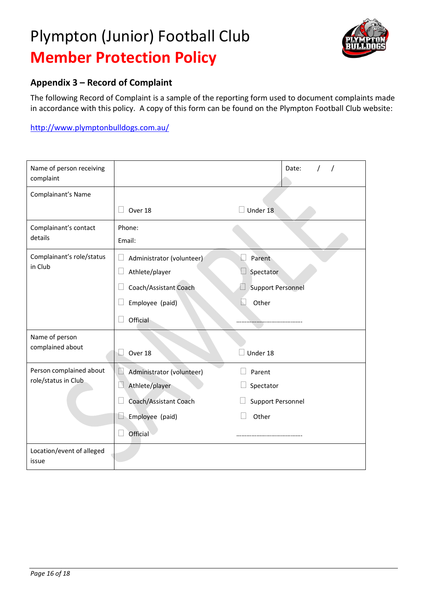

## **Appendix 3 – Record of Complaint**

The following Record of Complaint is a sample of the reporting form used to document complaints made in accordance with this policy. A copy of this form can be found on the Plympton Football Club website:

<http://www.plymptonbulldogs.com.au/>

| Name of person receiving<br>complaint |                                     | Date:                    |
|---------------------------------------|-------------------------------------|--------------------------|
| Complainant's Name                    |                                     |                          |
|                                       | Over 18                             | Under 18                 |
| Complainant's contact                 | Phone:                              |                          |
| details                               | Email:                              |                          |
| Complainant's role/status             | Administrator (volunteer)           | Parent                   |
| in Club                               | $\Box$<br>Athlete/player            | Spectator                |
|                                       | Coach/Assistant Coach               | <b>Support Personnel</b> |
|                                       | Employee (paid)                     | Other<br>h.              |
|                                       | Official                            |                          |
| Name of person                        |                                     |                          |
| complained about                      | Over 18                             | Under 18                 |
| Person complained about               | Administrator (volunteer)<br>$\Box$ | Parent                   |
| role/status in Club                   | Athlete/player                      | Spectator                |
|                                       | Coach/Assistant Coach               | <b>Support Personnel</b> |
|                                       | Employee (paid)<br>D                | Other                    |
|                                       | Official                            |                          |
| Location/event of alleged<br>issue    |                                     |                          |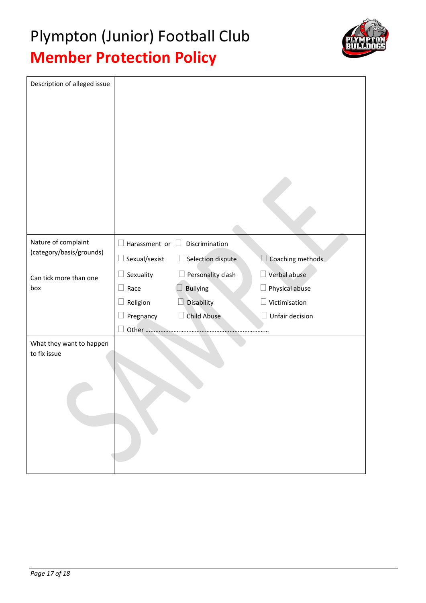

|                      | Discrimination     |                             |
|----------------------|--------------------|-----------------------------|
| $\Box$ Sexual/sexist | Selection dispute  | Coaching methods            |
| Sexuality<br>$\Box$  | Personality clash  | Verbal abuse                |
| Race<br>$\Box$       | <b>Bullying</b>    | Physical abuse<br>$\Box$    |
| Religion<br>- 1      | Disability         | Victimisation               |
| Pregnancy            | <b>Child Abuse</b> | Unfair decision             |
| Other                |                    |                             |
|                      |                    |                             |
|                      |                    | $\Box$ Harassment or $\Box$ |